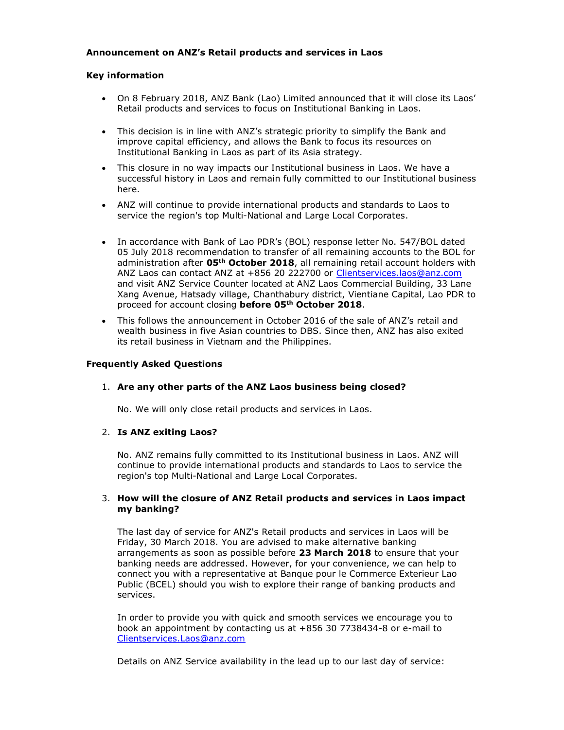### Announcement on ANZ's Retail products and services in Laos

#### Key information

- On 8 February 2018, ANZ Bank (Lao) Limited announced that it will close its Laos' Retail products and services to focus on Institutional Banking in Laos.
- This decision is in line with ANZ's strategic priority to simplify the Bank and improve capital efficiency, and allows the Bank to focus its resources on Institutional Banking in Laos as part of its Asia strategy.
- This closure in no way impacts our Institutional business in Laos. We have a successful history in Laos and remain fully committed to our Institutional business here.
- ANZ will continue to provide international products and standards to Laos to service the region's top Multi-National and Large Local Corporates.
- In accordance with Bank of Lao PDR's (BOL) response letter No. 547/BOL dated 05 July 2018 recommendation to transfer of all remaining accounts to the BOL for administration after 05<sup>th</sup> October 2018, all remaining retail account holders with ANZ Laos can contact ANZ at +856 20 222700 or Clientservices.laos@anz.com and visit ANZ Service Counter located at ANZ Laos Commercial Building, 33 Lane Xang Avenue, Hatsady village, Chanthabury district, Vientiane Capital, Lao PDR to proceed for account closing before 05<sup>th</sup> October 2018.
- This follows the announcement in October 2016 of the sale of ANZ's retail and wealth business in five Asian countries to DBS. Since then, ANZ has also exited its retail business in Vietnam and the Philippines.

#### Frequently Asked Questions

#### 1. Are any other parts of the ANZ Laos business being closed?

No. We will only close retail products and services in Laos.

#### 2. Is ANZ exiting Laos?

No. ANZ remains fully committed to its Institutional business in Laos. ANZ will continue to provide international products and standards to Laos to service the region's top Multi-National and Large Local Corporates.

#### 3. How will the closure of ANZ Retail products and services in Laos impact my banking?

The last day of service for ANZ's Retail products and services in Laos will be Friday, 30 March 2018. You are advised to make alternative banking arrangements as soon as possible before 23 March 2018 to ensure that your banking needs are addressed. However, for your convenience, we can help to connect you with a representative at Banque pour le Commerce Exterieur Lao Public (BCEL) should you wish to explore their range of banking products and services.

In order to provide you with quick and smooth services we encourage you to book an appointment by contacting us at +856 30 7738434-8 or e-mail to Clientservices.Laos@anz.com

Details on ANZ Service availability in the lead up to our last day of service: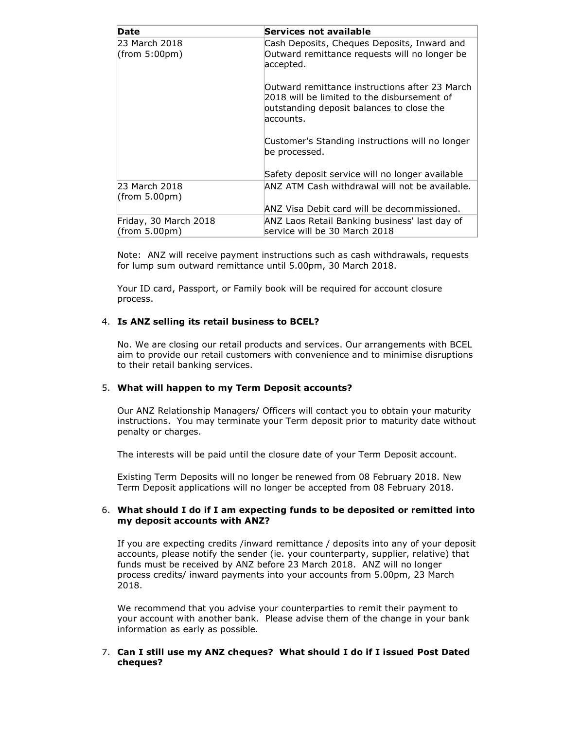| Date                                   | Services not available                                                                                                                                  |  |
|----------------------------------------|---------------------------------------------------------------------------------------------------------------------------------------------------------|--|
| 23 March 2018<br>(from 5:00pm)         | Cash Deposits, Cheques Deposits, Inward and<br>Outward remittance requests will no longer be<br>accepted.                                               |  |
|                                        | Outward remittance instructions after 23 March<br>2018 will be limited to the disbursement of<br>outstanding deposit balances to close the<br>accounts. |  |
|                                        | Customer's Standing instructions will no longer<br>be processed.                                                                                        |  |
|                                        | Safety deposit service will no longer available                                                                                                         |  |
| 23 March 2018<br>(from 5.00pm)         | ANZ ATM Cash withdrawal will not be available.                                                                                                          |  |
|                                        | ANZ Visa Debit card will be decommissioned.                                                                                                             |  |
| Friday, 30 March 2018<br>(from 5.00pm) | ANZ Laos Retail Banking business' last day of<br>service will be 30 March 2018                                                                          |  |

Note: ANZ will receive payment instructions such as cash withdrawals, requests for lump sum outward remittance until 5.00pm, 30 March 2018.

Your ID card, Passport, or Family book will be required for account closure process.

### 4. Is ANZ selling its retail business to BCEL?

No. We are closing our retail products and services. Our arrangements with BCEL aim to provide our retail customers with convenience and to minimise disruptions to their retail banking services.

#### 5. What will happen to my Term Deposit accounts?

Our ANZ Relationship Managers/ Officers will contact you to obtain your maturity instructions. You may terminate your Term deposit prior to maturity date without penalty or charges.

The interests will be paid until the closure date of your Term Deposit account.

Existing Term Deposits will no longer be renewed from 08 February 2018. New Term Deposit applications will no longer be accepted from 08 February 2018.

#### 6. What should I do if I am expecting funds to be deposited or remitted into my deposit accounts with ANZ?

If you are expecting credits /inward remittance / deposits into any of your deposit accounts, please notify the sender (ie. your counterparty, supplier, relative) that funds must be received by ANZ before 23 March 2018. ANZ will no longer process credits/ inward payments into your accounts from 5.00pm, 23 March 2018.

We recommend that you advise your counterparties to remit their payment to your account with another bank. Please advise them of the change in your bank information as early as possible.

#### 7. Can I still use my ANZ cheques? What should I do if I issued Post Dated cheques?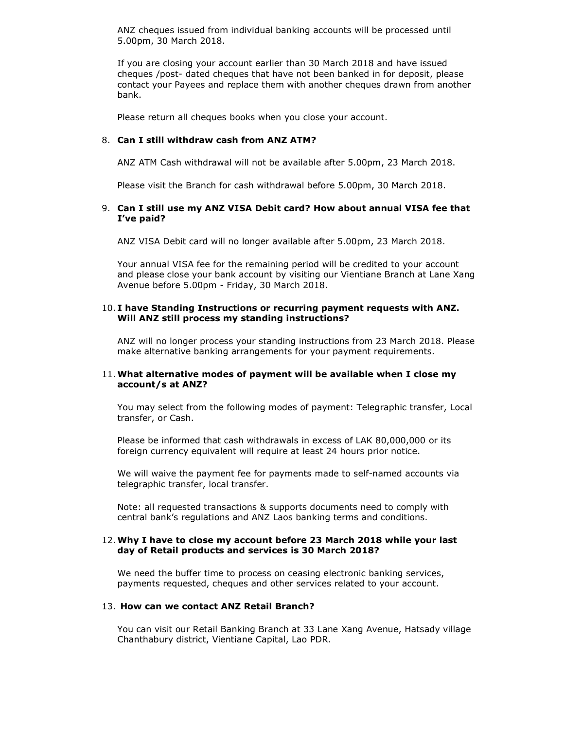ANZ cheques issued from individual banking accounts will be processed until 5.00pm, 30 March 2018.

If you are closing your account earlier than 30 March 2018 and have issued cheques /post- dated cheques that have not been banked in for deposit, please contact your Payees and replace them with another cheques drawn from another bank.

Please return all cheques books when you close your account.

#### 8. Can I still withdraw cash from ANZ ATM?

ANZ ATM Cash withdrawal will not be available after 5.00pm, 23 March 2018.

Please visit the Branch for cash withdrawal before 5.00pm, 30 March 2018.

#### 9. Can I still use my ANZ VISA Debit card? How about annual VISA fee that I've paid?

ANZ VISA Debit card will no longer available after 5.00pm, 23 March 2018.

Your annual VISA fee for the remaining period will be credited to your account and please close your bank account by visiting our Vientiane Branch at Lane Xang Avenue before 5.00pm - Friday, 30 March 2018.

#### 10. I have Standing Instructions or recurring payment requests with ANZ. Will ANZ still process my standing instructions?

ANZ will no longer process your standing instructions from 23 March 2018. Please make alternative banking arrangements for your payment requirements.

#### 11.What alternative modes of payment will be available when I close my account/s at ANZ?

You may select from the following modes of payment: Telegraphic transfer, Local transfer, or Cash.

Please be informed that cash withdrawals in excess of LAK 80,000,000 or its foreign currency equivalent will require at least 24 hours prior notice.

We will waive the payment fee for payments made to self-named accounts via telegraphic transfer, local transfer.

Note: all requested transactions & supports documents need to comply with central bank's regulations and ANZ Laos banking terms and conditions.

#### 12.Why I have to close my account before 23 March 2018 while your last day of Retail products and services is 30 March 2018?

We need the buffer time to process on ceasing electronic banking services, payments requested, cheques and other services related to your account.

#### 13. How can we contact ANZ Retail Branch?

You can visit our Retail Banking Branch at 33 Lane Xang Avenue, Hatsady village Chanthabury district, Vientiane Capital, Lao PDR.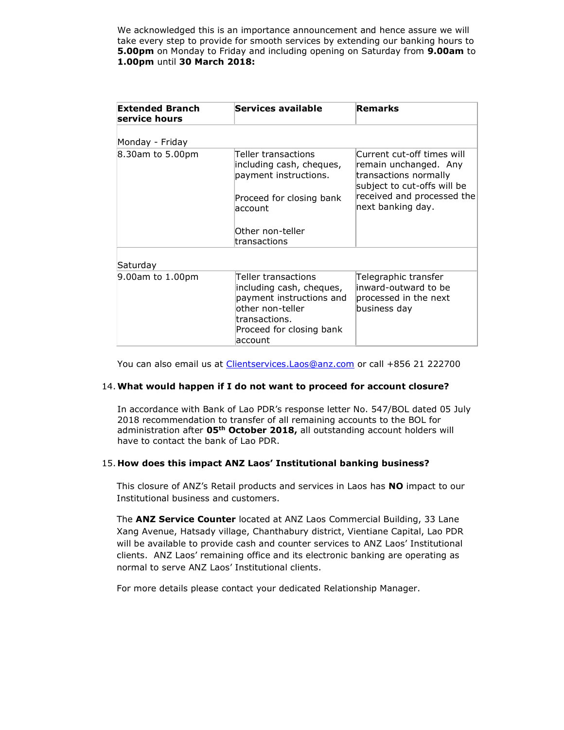We acknowledged this is an importance announcement and hence assure we will take every step to provide for smooth services by extending our banking hours to **5.00pm** on Monday to Friday and including opening on Saturday from 9.00am to 1.00pm until 30 March 2018:

| <b>Extended Branch</b><br>service hours | Services available                                                                                                                                       | Remarks                                                                                                                                                        |
|-----------------------------------------|----------------------------------------------------------------------------------------------------------------------------------------------------------|----------------------------------------------------------------------------------------------------------------------------------------------------------------|
| Monday - Friday                         |                                                                                                                                                          |                                                                                                                                                                |
| 8.30am to 5.00pm                        | Teller transactions<br>including cash, cheques,<br>payment instructions.<br>Proceed for closing bank<br>laccount<br>Other non-teller<br>transactions     | Current cut-off times will<br>remain unchanged. Any<br>transactions normally<br>subject to cut-offs will be<br>received and processed the<br>next banking day. |
| Saturday                                |                                                                                                                                                          |                                                                                                                                                                |
| $9.00$ am to $1.00$ pm                  | Teller transactions<br>including cash, cheques,<br>payment instructions and<br>other non-teller<br>transactions.<br>Proceed for closing bank<br>laccount | Telegraphic transfer<br>linward-outward to be<br>processed in the next<br>business day                                                                         |

You can also email us at *Clientservices.Laos@anz.com* or call +856 21 222700

#### 14.What would happen if I do not want to proceed for account closure?

In accordance with Bank of Lao PDR's response letter No. 547/BOL dated 05 July 2018 recommendation to transfer of all remaining accounts to the BOL for administration after 05<sup>th</sup> October 2018, all outstanding account holders will have to contact the bank of Lao PDR.

#### 15. How does this impact ANZ Laos' Institutional banking business?

This closure of ANZ's Retail products and services in Laos has NO impact to our Institutional business and customers.

The **ANZ Service Counter** located at ANZ Laos Commercial Building, 33 Lane Xang Avenue, Hatsady village, Chanthabury district, Vientiane Capital, Lao PDR will be available to provide cash and counter services to ANZ Laos' Institutional clients. ANZ Laos' remaining office and its electronic banking are operating as normal to serve ANZ Laos' Institutional clients.

For more details please contact your dedicated Relationship Manager.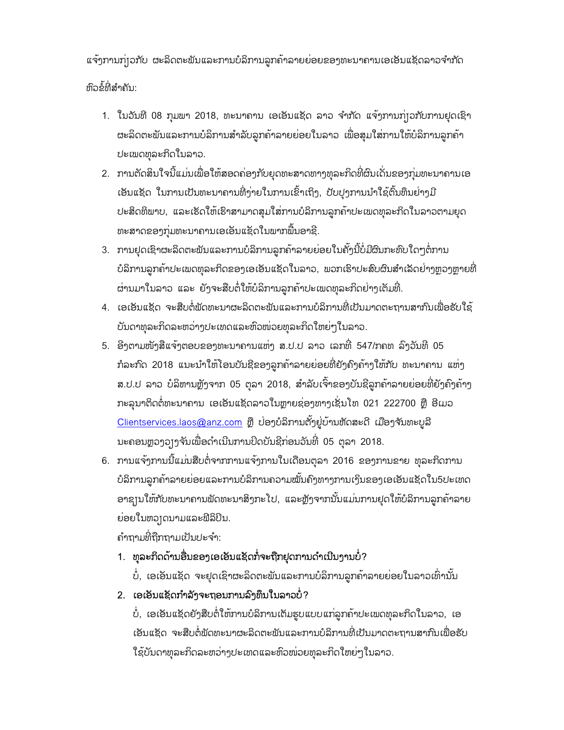ແຈ້ງການກຸ່ງວກັບ ຜະລິດຕະພັນແລະການບໍລິການລູກຄ້າລາຍຍ່ອຍຂອງທະນາຄານເອເອັນແຊັດລາວຈຳກັດ ຫວົຂໍທ້່ີສາໍຄນັ:

- 1. ໃນວັນທີ 08 ກຸມພາ 2018, ທະນາຄານ ເອເອັນແຊັດ ລາວ ຈຳກັດ ແຈ້ງການກຸ່ງວກັບການຢຸດເຊົາ ຜະລິດຕະພັນແລະການບໍລິການສຳລັບລູກຄ້າລາຍຍ່ອຍໃນລາວ ເພື່ອສຸມໃສ່ການໃຫ້ບໍລິການລູກຄ້າ ປະເພດທຸລະກິດໃນລາວ.
- 2. ການຕັດສິນໃຈນີ້ແມ່ນເພື່ອໃຫ້ສອດຄ່ອງກັບຍຸດທະສາດທາງທຸລະກິດທີ່ຜົນເດັ່ນຂອງກຸ່ມທະນາຄານເອ ເອັນແຊັດ ໃນການເປັນທະນາຄານທີ່ງ່າຍໃນການເຂົ້າເຖິງ, ປັບປຸງການນຳໃຊ້ຕົ້ນທຶນຍ່າງມີ ປະສິດທິພາບ, ແລະເຮັດໃຫ້ເຮົາສາມາດສຸມໃສ່ການບໍລິການລູກຄ້າປະເພດທຸລະກິດໃນລາວຕາມຍຸດ ທະສາດຂອງກຸ່ມທະນາຄານເອເອັນແຊັດໃນພາກພື້ນອາຊີ.
- 3. ການຢຸດເຊົາຜະລິດຕະພັນແລະການບໍລິການລູກຄ້າລາຍຍ່ອຍໃນຄັ້ງນີ້ບໍ່ມີຜົນກະທົບໃດໆຕໍ່ການ ບໍລິການລູກຄ້າປະເພດທຸລະກິດຂອງເອເອັນແຊັດໃນລາວ, ພວກເຮົາປະສົບຜົນສຳເລັດຢ່າງຫຼວງຫຼາຍທີ່ ຜ່ານມາໃນລາວ ແລະ ຍັງຈະສືບຕໍ່ໃຫ້ບໍລິການລູກຄ້າປະເພດທຸລະກິດຢ່າງເຕັມທີ່.
- 4. ເອເອັນແຊັດ ຈະສບືຕ່ໍພດັທະນາຜະລດິ ຕະພນັແລະການບໍລິການທ່ີເປັນມາດຕະຖານສາກນົເພ່ືອຮບັໃຊ້ ບັນດາທຸລະກິດລະຫວ່າງປະເທດແລະຫົວໜ່ວຍທຸລະກິດໃຫຍ່ໆໃນລາວ.
- 5. ອີງຕາມໜັງສືແຈ້ງຕອບຂອງທະນາຄານແຫ່ງ ສ.ປ.ປ ລາວ ເລກທີ່ 547/ກຄທ ລົງວັນທີ 05 ກໍລະກົດ 2018 ແນະນຳໃຫ້ໂອນບັນຊີຂອງລູກຄ້າລາຍຍ່ອຍທີ່ຍັງຄົງຄ້າງໃຫ້ກັບ ທະນາຄານ ແຫ່ງ ສ.ປ.ປ ລາວ ບໍລິຫານຫຼັງຈາກ 05 ຕຸລາ 2018, ສຳລັບເຈົ້າຂອງບັນຊີລູກຄ້າລາຍຍ່ອຍທີ່ຍັງຄົງຄ້າງ ກະລຸນາຕິດຕໍ່ທະນາຄານ ເອເອັນແຊັດລາວໃນຫຼາຍຊ່ອງທາງເຊັ່ນໂທ 021 222700 ຫຼື ອີເມວ  $C$ lientservices.laos@anz.com ຫຼື ບ່ອງບໍລິການຕັ້ງຢູ່ບ້ານຫັດສະດີ ເມືອງຈັນທະບູລີ ນະຄອນຫຼວງວຽງຈັນເພື່ອດຳເນີນການປິດບັນຊີກ່ອນວັນທີ່ 05 ຕຸລາ 2018.
- 6. ການແຈ້ງການນີ້ແມ່ນສືບຕໍ່ຈາກການແຈ້ງການໃນເດືອນຕຸລາ 2016 ຂອງການຂາຍ ທຸລະກິດການ ບໍລິການລູກຄ້າລາຍຍ່ອຍແລະການບໍລິການຄວາມໝັ້ນຄົງທາງການເງິນຂອງເອເອັນແຊັດໃນ5ປະເທດ ອາຊ $\scriptstyle\rm II$ ໃຫ້ກັບທະນາຄານພັດທະນາສິງກະ ໂປ, ແລະຫຼັງຈາກນັ້ນແມ່ນການຢຸດໃຫ້ບໍລິການລູກຄ້າລາຍ ຍ່ອຍໃນຫວງດນາມແລະຟີລິປິນ.

ຄາໍຖາມທ່ີຖກືຖາມເປັນປະຈາໍ:

1. ທຸລະກິດດ້ານອື່ນຂອງເອເອັນແຊັດກໍ່ຈະຖືກຢຸດການດຳເນີນງານບໍ່?

ບໍ່, ເອເອັນແຊັດ ຈະຢຸດເຊົາຜະລິດຕະພັນແລະການບໍລິການລູກຄ້າລາຍຍ່ອຍໃນລາວເທົ່ານັ້ນ

2. ເອເອັນແຊັດກາໍລງັຈະຖອນການລງົທຶນໃນລາວບ່ໍ?

ບໍ່, ເອເອັນແຊັດຍັງສືບຕໍ່ໃຫ້ການບໍລິການເຕັມຮູບແບບແກ່ລູກຄ້າປະເພດທຸລະກິດໃນລາວ, ເອ ເອັນແຊັດ ຈະສືບຕໍ່ພັດທະນາຜະລິດຕະພັນແລະການບໍລິການທີ່ເປັນມາດຕະຖານສາກົນເພື່ອຮັບ ໃຊ້ບັນດາທຸລະກິດລະຫວ່າງປະເທດແລະຫົວໜ່ວຍທຸລະກິດໃຫຍ່ໆ ໃນລາວ.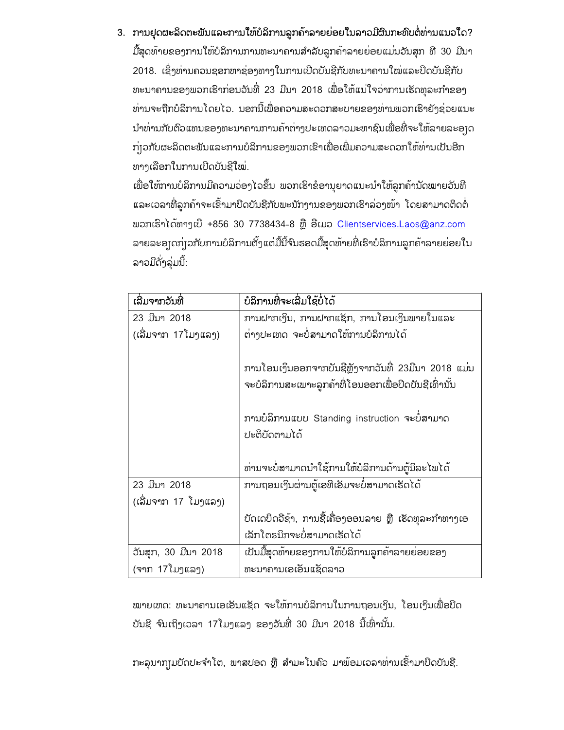### 3. ການຢຸດຜະລິດຕະຟັນແລະການໃຫ້ບໍລິການລູກຄ້າລາຍຍ່ອຍໃນລາວມີຜົນກະທົບຕໍ່ທ່ານແນວໃດ?

ມື້ສຸດທ້າຍຂອງການໃຫ້ບໍລິການການທະນາຄານສຳລັບລູກຄ້າລາຍຍ່ອຍແມ່ນວັນສຸກ ທີ 30 ມີນາ 2018. ເຊິ່ງທ່ານຄວນຊອກຫາຊ່ອງທາງໃນການເປີດບັນຊີກັບທະນາຄານໃໝ່ແລະປິດບັນຊີກັບ ທະນາຄານຂອງພວກເຮົາກ່ອນວັນທີ່ 23 ມີນາ 2018 ເພື່ອໃຫ້ແນ່ໃຈວ່າການເຮັດທຸລະກຳຂອງ ທ່ານຈະຖືກບໍລິການໂດຍໄວ. ນອກນີ້ເພື່ອຄວາມສະດວກສະບາຍຂອງທ່ານພວກເຮົາຍັງຊ່ວຍແນະ ນຳທ່ານກັບຕົວແທນຂອງທະນາຄານການຄ້າຕ່າງປະເທດລາວມະຫາຊົນເພື່ອທີ່ຈະໃຫ້ລາຍລະອງດ ກຸ່ງວກັບຜະລິດຕະພັນແລະການບໍລິການຂອງພວກເຂົາເພື່ອເພີ່ມຄວາມສະດວກໃຫ້ທ່ານເປັນອີກ ທາງເລືອກໃນການເປີດບັນຊີໃໝ່.

ເພື່ອໃຫ້ການບໍລິການມີຄວາມວ່ອງໄວຂຶ້ນ ພວກເຮົາຂໍອານຸຍາດແນະນຳໃຫ້ລູກຄ້ານັດໝາຍວັນທີ ແລະເວລາທີ່ລູກຄ້າຈະເຂົ້າມາປິດບັນຊີກັບພະນັກງານຂອງພວກເຮົາລ່ວງໜ້າ ໂດຍສາມາດຕິດຕໍ່ ພວກເຮົາໄດ້ທາງເບີ +856 30 7738434-8 ຫຼື ອີເມວ Clientservices.Laos@anz.com ລາຍລະອງດກຸ່ງວກັບການບໍລິການຕັ້ງແຕ່ມື້ນີ້ຈົນຮອດມື້ສຸດທ້າຍທີ່ເຮົາບໍລິການລູກຄ້າລາຍຍ່ອຍໃນ ລາວມີດັ່ງລຸ່ມນີ້:

| ເລີ່ມຈາກວັນທີ່       | ບໍລິການທີ່ຈະເລີ່ມໃຊ້ບໍ່ໄດ້                                                                                                                                                    |  |  |
|----------------------|-------------------------------------------------------------------------------------------------------------------------------------------------------------------------------|--|--|
| 23 ມີນາ 2018         | ການຝາກເງິນ, ການຝາກແຊັກ, ການໂອນເງິນພາຍໃນແລະ                                                                                                                                    |  |  |
| (ເລີ້ມຈາກ 17 ໂມງແລງ) | ຕ່າງປະເທດ ຈະບໍ່ສາມາດໃຫ້ການບໍລິການໄດ້                                                                                                                                          |  |  |
|                      | ການໂອນເງິນອອກຈາກບັນຊີຫຼັງຈາກວັນທີ່ 23ມີນາ 2018 ແມ່ນ<br>ຈະບໍລິການສະເພາະລູກຄ້າທີ່ໂອນອອກເພື່ອປິດບັນຊີເທົ່ານັ້ນ<br>ການບໍລິການແບບ Standing instruction ຈະບໍ່ສາມາດ<br>ປະຕິບັດຕາມໄດ້ |  |  |
|                      | ທ່ານຈະບໍ່ສາມາດນຳໃຊ້ການໃຫ້ບໍລິການດ້ານຕູ້ນິລະໄພໄດ້                                                                                                                              |  |  |
| 23 ມີນາ 2018         | ການຖອນເງິນຜ່ານຕູ້ເອທີເອັມຈະບໍ່ສາມາດເຮັດໄດ້                                                                                                                                    |  |  |
| (ເລີ່ມຈາກ 17 ໂມງແລງ) |                                                                                                                                                                               |  |  |
|                      | ບັດເດບິດວີຊ້າ, ການຊື້ເຄື່ອງອອນລາຍ ຫຼື ເຮັດທຸລະກຳທາງເອ                                                                                                                         |  |  |
|                      | ເລັກໂຕຣນິກຈະບໍ່ສາມາດເຮັດໄດ້                                                                                                                                                   |  |  |
| ວັນສຸກ, 30 ມີນາ 2018 | ເປັນມື້ສຸດທ້າຍຂອງການໃຫ້ບໍລິການລູກຄ້າລາຍຍ່ອຍຂອງ                                                                                                                                |  |  |
| (ຈາກ 17ໂມງແລງ)       | ທະນາຄານເອເອັນແຊັດລາວ                                                                                                                                                          |  |  |

ໝາຍເຫດ: ທະນາຄານເອເອັນແຊັດ ຈະໃຫ້ການບໍລິການໃນການຖອນເງິນ, ໂອນເງິນເພື່ອປິດ ບັນຊີ ຈົນເຖິງເວລາ 17ໂມງແລງ ຂອງວັນທີ່ 30 ມີນາ 2018 ນີ້ເທົ່ານັ້ນ.

ກະລຸນາກງຸມບັດປະຈຳໂຕ, ພາສປອດ ຫຼື ສຳມະໂນຄົວ ມາພ້ອມເວລາທ່ານເຂົ້າມາປິດບັນຊີ.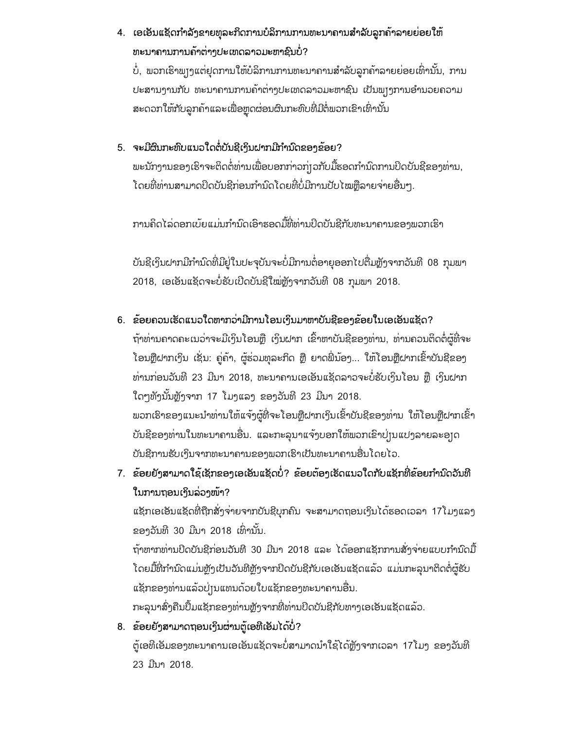# 4. ເອເອັນແຊັດກຳລັງຂາຍທຸລະກິດການບໍລິການການທະນາຄານສຳລັບລູກຄ້າລາຍຍ່ອຍໃຫ້ ທະນາຄານການຄ້າຕ່າງປະເທດລາວມະຫາຊົນບໍ່?

ບໍ່, ພວກເຮົາພຸງງແຕ່ຢຸດການໃຫ້ບໍລິການການທະນາຄານສຳລັບລູກຄ້າລາຍຍ່ອຍເທົ່ານັ້ນ, ການ ປະສານງານກັບ ທະນາຄານການຄ້າຕ່າງປະເທດລາວມະຫາຊົນ ເປັນພຽງການອຳນວຍຄວາມ ສະດວກໃຫ້ກັບລູກຄ້າແລະເພື່ອຫຼຸດຜ່ອນຜົນກະທົບທີ່ມີຕໍ່ພວກເຂົາເທົ່ານັ້ນ

## 5. ຈະມີຜົນກະທົບແນວໃດຕໍ່ບັນຊີເງິນຝາກມີກຳນົດຂອງຂ້ອຍ?

ພະນັກງານຂອງເຮົາຈະຕິດຕໍ່ທ່ານເພື່ອບອກກ່າວກ່ $\mathfrak f$ ວກັບມື້ຮອດກຳນົດການປິດບັນຊີຂອງທ່ານ, ໂດຍທີ່ທ່ານສາມາດປິດບັນຊີກ່ອນກຳນົດໂດຍທີ່ບໍ່ມີການປັບໄໝຫຼືລາຍຈ່າຍອື່ນໆ.

ການຄດິ ໄລດ່ ອກເບຍ້ ແມນ່ ກາໍນດົເອົາຮອດມທື້່ີທາ່ ນປິດບນັຊກີບັທະນາຄານຂອງພວກເຮົາ

ບັນຊີເງິນຝາກມີກຳນົດທີ່ມີຢູ່ໃນປະຈຸບັນຈະບໍ່ມີການຕໍ່ອາຍຸອອກໄປຕື່ມຫຼັງຈາກວັນທີ 08 ກຸມພາ 2018, ເອເອັນແຊັດຈະບໍ່ຮັບເປີດບັນຊີໃໝ່ຫຼັງຈາກວັນທີ 08 ກຸມພາ 2018.

### 6. ຂ້ອຍຄວນເຮັດແນວໃດຫາກວ່າມີການໂອນເງິນມາຫາບັນຊີຂອງຂ້ອຍໃນເອເອັນແຊັດ?

ຖ້າທ່ານຄາດຄະເນວ່າຈະມີເງິນໂອນຫຼື ເງິນຝາກ ເຂົ້າຫາບັນຊີຂອງທ່ານ, ທ່ານຄວນຕິດຕໍ່ຜູ້ທີ່ຈະ ໂອນຫຼືຝາກເງິນ ເຊັ່ນ: ຄູ່ຄ້າ, ຜູ້ຮ່ວມທຸລະກິດ ຫຼື ຍາດພີ່ນ້ອງ... ໃຫ້ໂອນຫຼືຝາກເຂົ້າບັນຊີຂອງ ທ່ານກ່ອນວັນທີ 23 ມີນາ 2018, ທະນາຄານເອເອັນແຊັດລາວຈະບໍ່ຮັບເງິນໂອນ ຫຼື ເງິນຝາກ ໃດໆທັງນັ້ນຫຼັງຈາກ 17 ໂມງແລງ ຂອງວັນທີ 23 ມີນາ 2018. ພວກເຮົາຂອງແນະນຳທ່ານໃຫ້ແຈ້ງຜູ້ທີ່ຈະໂອນຫຼືຝາກເງິນເຂົ້າບັນຊີຂອງທ່ານ ໃຫ້ໂອນຫຼືຝາກເຂົ້າ ບັນຊີຂອງທ່ານໃນທະນາຄານອື່ນ. ແລະກະລຸນາແຈ້ງບອກໃຫ້ພວກເຂົາປ່ $\mathop{\upmu}\nolimits$ ເປງລາຍລະອ $\mathop{\mathsf{p}}\nolimits$ ດ ບັນຊີການຮັບເງິນຈາກທະນາຄານຂອງພວກເຮົາເປັນທະນາຄານອື່ນໂດຍໄວ.

# 7. ຂ້ອຍຍັງສາມາດໃຊ້ເຊັກຂອງເອເອັນແຊັດບໍ່? ຂ້ອຍຕ້ອງເຮັດແນວໃດກັບແຊັກທີ່ຂ້ອຍກຳນົດວັນທີ ໃນການຖອນເງິນລ່ວງໜ້າ?

ແຊັກເອເອັນແຊັດທີ່ຖືກສັ່ງຈ່າຍຈາກບັນຊີບຸກຄົນ ຈະສາມາດຖອນເງິນໄດ້ຮອດເວລາ 17ໂມງແລງ ຂອງວັນທີ 30 ມີນາ 2018 ເທົ່ານັ້ນ.

ຖ້າຫາກທ່ານປິດບັນຊີກ່ອນວັນທີ 30 ມີນາ 2018 ແລະ ໄດ້ອອກແຊັກການສັ່ງຈ່າຍແບບກຳນົດມື້ ີ ໂດຍມື້່ທີ່ກຳນົດແມ່ນຫຼັງເປັນວັນທີຫຼັງຈາກປິດບັນຊີກັບເອເອັນແຊັດແລ້ວ ແມ່ນກະລຸນາຕິດຕໍ່ຜູ້ຮັບ ແຊັກຂອງທ່ານແລ້ວປ່ງນແທນດ້ວຍໃບແຊັກຂອງທະນາຄານອື່ນ.

ກະລຸນາສົ່ງຄືນປຶ້ມແຊັກຂອງທ່ານຫຼັງຈາກທີ່ທ່ານປິດບັນຊີກັບທາງເອເອັນແຊັດແລ້ວ.

### 8. ຂ້ອຍຍັງສາມາດຖອນເງິນຜ່ານຕູ້ເອທີເອັມໄດ້ບໍ່?

ຕູ້ເອທີເອັມຂອງທະນາຄານເອເອັນແຊັດຈະບໍ່ສາມາດນຳໃຊ້ໄດ້ຫຼັງຈາກເວລາ 17ໂມງ ຂອງວັນທີ 23 ມນີາ 2018.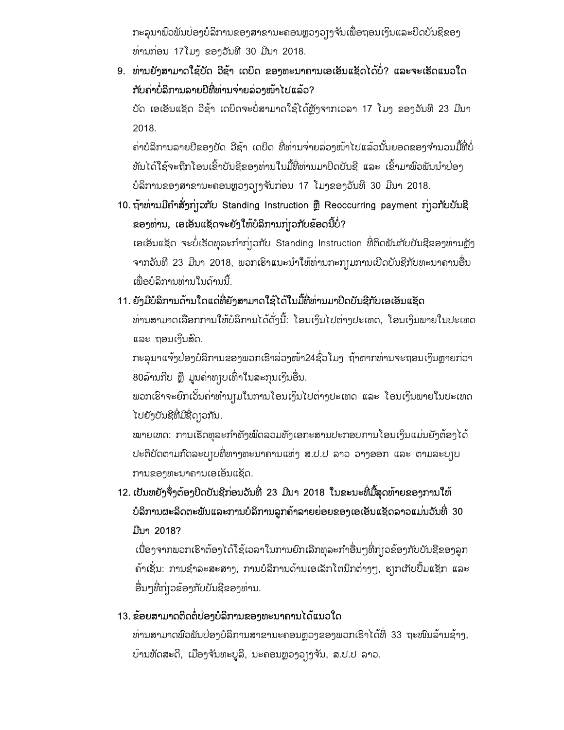ກະລຸນາພົວພັນບ່ອງບໍລິການຂອງສາຂານະຄອນຫຼວງວ]ງຈັນເພື່ອຖອນເງິນແລະປິດບັນຊີຂອງ ທ່ານກ່ອນ 17ໂມງ ຂອງວັນທີ 30 ມີນາ 2018.

9. ທາ່ ນຍງັສາມາດໃຊບ້ ດັ ວຊີາ້ ເດບິດ ຂອງທະນາຄານເອເອັນແຊັດໄດບ້່ໍ? ແລະຈະເຮັດແນວໃດ ກັບຄ່າບໍ່ລິການລາຍປີທີ່ທ່ານຈ່າຍລ່ວງໜ້າໄປແລ້ວ?

ບັດ ເອເອັນແຊັດ ວີຊ້າ ເດບິດຈະບໍ່ສາມາດໃຊ້ໄດ້ຫຼັງຈາກເວລາ 17 ໂມງ ຂອງວັນທີ 23 ມີນາ 2018.

ຄ່າບໍລິການລາຍປີຂອງບັດ ວີຊ້າ ເດບິດ ທີ່ທ່ານຈ່າຍລ່ວງໜ້າໄປແລ້ວນັ້ນຍອດຂອງຈຳນວນມື້ທີ່ບໍ່ ທັນໄດ້ໃຊ້ຈະຖືກໂອນເຂົ້າບັນຊີຂອງທ່ານໃນມື້ທີ່ທ່ານມາປິດບັນຊີ ແລະ ເຂົ້າມາພົວພັນນຳບ່ອງ ບໍລິການຂອງສາຂານະຄອນຫຼວງວ]ງຈັນກ່ອນ 17 ໂມງຂອງວັນທີ 30 ມີນາ 2018.

10. ຖ້າທ່ານມີຄຳສັ່ງກຸ່ງວກັບ Standing Instruction ຫຼື Reoccurring payment ກຸ່ງວກັບບັນຊີ ຂອງທ່ານ, ເອເອັນແຊັດຈະຍັງໃຫ້ບໍລິການກ່າວກັບຂ້ອດນີ້ບໍ່?

ເອເອັນແຊັດ ຈະບໍ່ເຮັດທຸລະກຳກຸ່ງວກັບ Standing Instruction ທີ່ຕິດພັນກັບບັນຊີຂອງທ່ານຫຼັງ ຈາກວັນທີ 23 ມີນາ 2018, ພວກເຮົາແນະນຳໃຫ້ທ່ານກະກ $_{\rm I}$ ມການເປີດບັນຊີກັບທະນາຄານອື່ນ ເພື່ອບໍລິການທ່ານໃນດ້ານນີ້.

# 11. ຍັງມັບລິການດານໄດແດທີ່ຍັງສາມາດໄຊໄດໄນມື້ທີ່ທານມາປິດບັນຊີກັບເອເອັນແຊັດ

ທ່ານສາມາດເລືອກການໃຫ້ບໍລິການໄດ້ດັ່ງນີ້: ໂອນເງິນໄປຕ່າງປະເທດ, ໂອນເງິນພາຍໃນປະເທດ ແລະ ຖອນເງິນສົດ.

ກະລຸນາແຈ້ງບ່ອງບໍລິການຂອງພວກເຮົາລ່ວງໜ້າ24ຊົ່ວ ໂມງ ຖ້າຫາກທ່ານຈະຖອນເງິນຫຼາຍກ່ວາ 80ລ້ານກີບ ຫຼື ມູນຄ່າທຸງບເທົ່າໃນສະກຸນເງິນອື່ນ.

ພວກເຮົາຈະຍົກເວັ້ນຄ່າທຳນຸງມໃນການໂອນເງິນໄປຕ່າງປະເທດ ແລະ ໂອນເງິນພາຍໃນປະເທດ ໄປຍງັບນັຊທີ່ີມຊີ່ດືຽວກນັ.

ໝາຍເຫດ: ການເຮັດທຸລະກຳທັງໝົດລວມທັງເອກະສານປະກອບການໂອນເງິນແມ່ນຍັງຕ້ອງໄດ້ ປະຕິບັດຕາມກົດລະບຽບທີ່ທາງທະນາຄານແຫ່ງ ສ.ປ.ປ ລາວ ວາງອອກ ແລະ ຕາມລະບຽບ ການຂອງທະນາຄານເອເອັນແຊັດ.

12. ເປັນຫຍັງຈຶ່ງຕ້ອງປີດບັນຊີກ່ອນວັນທີ່ 23 ມີນາ 2018 ໃນຂະນະທີ່ມື້ສຸດທ້າຍຂອງການໃຫ້ ບໍລິການຜະລິດຕະພັນແລະການບໍລິການລູກຄ້າລາຍຍ່ອຍຂອງເອເອັນແຊັດລາວແມ່ນວັນທີ່ 30 ມີນາ 2018?

ເນື່ອງຈາກພວກເຮົາຕ້ອງໄດ້ໃຊ້ເວລາໃນການຍົກເລີກທຸລະກຳອື່ນໆທີ່ກຸ່ງວຂ້ອງກັບບັນຊີຂອງລູກ ຄ້າເຊັ່ນ: ການຊຳລະສະສາງ, ການບໍລິການດ້ານເອເລັກໂຕນິກຕ່າງໆ, ຮ⊺ກເກັບປຶ້ມແຊັກ ແລະ ອື່ນໆທີ່ກ່|ວຂ້ອງກັບບັນຊີຂອງທ່ານ.

## 13. ຂ້ອຍສາມາດຕິດຕໍ່ປ່ອງບໍລິການຂອງທະນາຄານໄດ້ແນວໃດ

ທ່ານສາມາດພົວພັນບ່ອງບໍລິການສາຂານະຄອນຫຼວງຂອງພວກເຮົາໄດ້ທີ່ 33 ຖະໜົນລ້ານຊ້າງ, ບ້ານຫັດສະດີ, ເມືອງຈັນທະບູລີ, ນະຄອນຫຼວງວງງຈັນ, ສ.ປ.ປ ລາວ.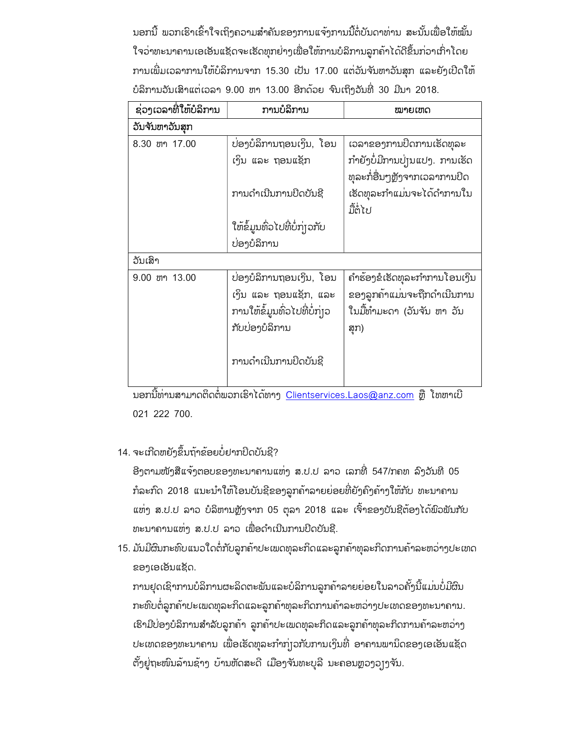ນອກນີ້ ພວກເຮົາເຂົ້າໃຈເຖິງຄວາມສຳຄັນຂອງການແຈ້ງການນີ້ຕໍ່ບັນດາທ່ານ ສະນັ້ນເພື່ອໃຫ້ໝັ້ນ ໃຈວ່າທະນາຄານເອເອັນແຊັດຈະເຮັດທຸກຍ່າງເພື່ອໃຫ້ການບໍລິການລູກຄ້າໄດ້ດີຂຶ້ນກ່ວາເກົ່າໂດຍ ການເພີ່ມເວລາການໃຫ້ບໍລິການຈາກ 15.30 ເປັນ 17.00 ແຕ່ວັນຈັນຫາວັນສຸກ ແລະຍັງເປີດໃຫ້ ບໍລິການວັນເສົາແຕ່ເວລາ 9.00 ຫາ 13.00 ອີກດ້ວຍ ຈົນເຖິງວັນທີ່ 30 ມີນາ 2018.

| ຊ່ວງເວລາທີ່ໃຫ້ບໍລິການ | ການບໍລິການ                    | ໝາຍເຫດ                         |
|-----------------------|-------------------------------|--------------------------------|
| ວັນຈັນຫາວັນສຸກ        |                               |                                |
| 8.30 ขา 17.00         | ບ່ອງບໍລິການຖອນເງິນ, ໂອນ       | ເວລາຂອງການປິດການເຮັດທຸລະ       |
|                       | ເງິນ ແລະ ຖອນແຊັກ              | ກຳຍັງບໍ່ມີການບຸ່ງນແປງ. ການເຮັດ |
|                       |                               | ທຸລະກໍ່ອື່ນໆຫຼັງຈາກເວລາການປິດ  |
|                       | ການດຳເນີນການປິດບັນຊີ          | ເຮັດທຸລະກຳແມ່ນຈະໄດ້ດຳການໃນ     |
|                       |                               | ມື້ຕໍ່ໄປ                       |
|                       | ໃຫ້ຂໍ້ມູນທົ່ວໄປທີ່ບໍ່ກຸ່ງວກັບ |                                |
|                       | ບ່ອງບໍລິການ                   |                                |
| ວັນເສົາ               |                               |                                |
| 9.00 ขา 13.00         | ບ່ອງບໍລິການຖອນເງິນ, ໂອນ       | ຄຳຮ້ອງຂໍເຮັດທຸລະກຳການໂອນເງິນ   |
|                       | ເງິນ ແລະ ຖອນແຊັກ, ແລະ         | ຂອງລູກຄ້າແມ່ນຈະຖືກດຳເນີນການ    |
|                       | ການໃຫ້ຂໍ້ມູນທົ່ວໄປທີ່ບໍ່ກຸ່ງວ | ໃນມື້ທຳມະດາ (ວັນຈັນ ຫາ ວັນ     |
|                       | ກັບບ່ອງບໍລິການ                | ສຸກ)                           |
|                       |                               |                                |
|                       | ການດຳເນີນການປິດບັນຊີ          |                                |
|                       |                               |                                |

ນອກນີ້ທ່ານສາມາດຕິດຕໍ່ພວກເຮົາໄດ້ທາງ Clientservices.Laos@anz.com ຫຼື ໂທຫາເບີ 021 222 700.

### 14. ຈະເກີດຫຍັງຂຶ້ນຖ້າຂ້ອຍບໍ່ຢາກປິດບັນຊີ?

ອີງຕາມໜັງສືແຈ້ງຕອບຂອງທະນາຄານແຫ່ງ ສ.ປ.ປ ລາວ ເລກທີ່ 547/ກຄທ ລົງວັນທີ 05 ກໍລະກົດ 2018 ແນະນຳໃຫ້ໂອນບັນຊີຂອງລູກຄ້າລາຍຍ່ອຍທີ່ຍັງຄົງຄ້າງໃຫ້ກັບ ທະນາຄານ ແຫ່ງ ສ.ປ.ປ ລາວ ບໍລິຫານຫຼັງຈາກ 05 ຕຸລາ 2018 ແລະ ເຈົ້າຂອງບັນຊີຕ້ອງໄດ້ພົວພັນກັບ ທະນາຄານແຫ່ງ ສ.ປ.ປ ລາວ ເພື່ອດຳເນີນການປິດບັນຊີ.

15. ມັນມີຜົນກະທົບແນວໃດຕໍ່ກັບລູກຄ້າປະເພດທຸລະກິດແລະລູກຄ້າທຸລະກິດການຄ້າລະຫວ່າງປະເທດ ຂອງເອເອັນແຊັດ.

ການຢຸດເຊົາການບໍລິການຜະລິດຕະພັນແລະບໍລິການລູກຄ້າລາຍຍ່ອຍໃນລາວຄັ້ງນີ້ແມ່ນບໍ່ມີຜົນ ກະທົບຕໍ່ລູກຄ້າປະເພດທຸລະກິດແລະລູກຄ້າທຸລະກິດການຄ້າລະຫວ່າງປະເທດຂອງທະນາຄານ. ເຮົາມີປ່ອງບໍລິການສຳລັບລູກຄ້າ ລູກຄ້າປະເພດທຸລະກິດແລະລູກຄ້າທຸລະກິດການຄ້າລະຫວ່າງ ປະເທດຂອງທະນາຄານ ເພື່ອເຮັດທຸລະກຳກຸ່ງວກັບການເງິນທີ່ ອາຄານພານິດຂອງເອເອັນແຊັດ ຕັ້ງຢູ່ຖະໜົນລ້ານຊ້າງ ບ້ານຫັດສະດີ ເມືອງຈັນທະບຸລີ ນະຄອນຫຼວງວຸງງຈັນ.